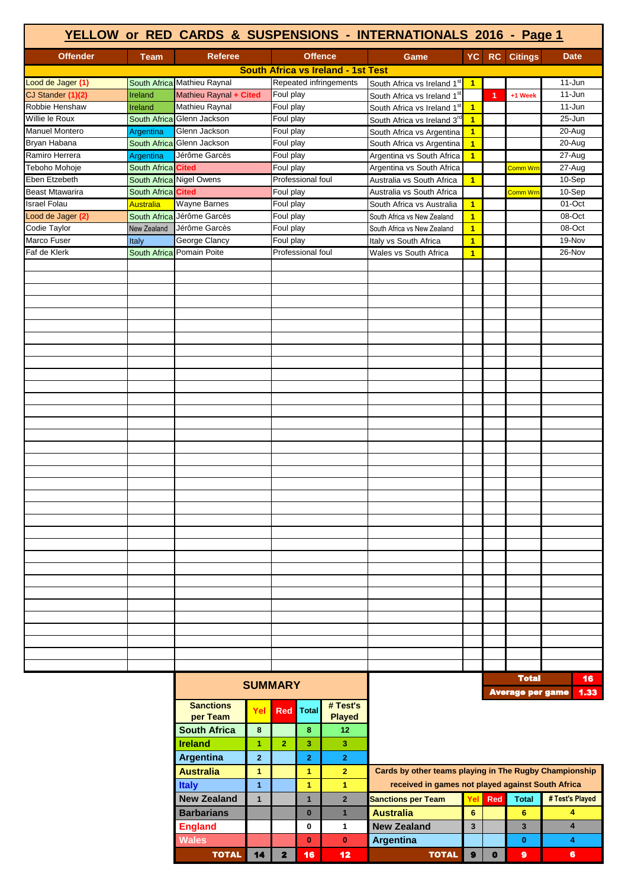|                                  |                                        |                             | YELLOW or RED CARDS & SUSPENSIONS - INTERNATIONALS 2016 - Page 1 |                                                                           |                   |                                    |                                                          |                                              |                |                         |                 |
|----------------------------------|----------------------------------------|-----------------------------|------------------------------------------------------------------|---------------------------------------------------------------------------|-------------------|------------------------------------|----------------------------------------------------------|----------------------------------------------|----------------|-------------------------|-----------------|
| <b>Offender</b>                  | <b>Team</b>                            | <b>Referee</b>              |                                                                  |                                                                           | <b>Offence</b>    |                                    | Game                                                     | YC                                           |                | <b>RC</b> Citings       | <b>Date</b>     |
|                                  |                                        |                             |                                                                  |                                                                           |                   | South Africa vs Ireland - 1st Test |                                                          |                                              |                |                         |                 |
| Lood de Jager (1)                |                                        | South Africa Mathieu Raynal |                                                                  |                                                                           |                   | Repeated infringements             | South Africa vs Ireland 1st                              | $\blacktriangleleft$                         |                |                         | $11 - Jun$      |
| CJ Stander (1)(2)                | Ireland                                | Mathieu Raynal + Cited      |                                                                  | Foul play                                                                 |                   |                                    | South Africa vs Ireland 1st                              |                                              | $\overline{1}$ | +1 Week                 | $11 - Jun$      |
| Robbie Henshaw                   | Ireland                                | Mathieu Raynal              |                                                                  | Foul play                                                                 |                   |                                    | South Africa vs Ireland 1st                              | $\blacktriangleleft$                         |                |                         | 11-Jun          |
| Willie le Roux                   |                                        | South Africa Glenn Jackson  |                                                                  | Foul play                                                                 |                   |                                    | South Africa vs Ireland 3rd                              | $\blacktriangleleft$                         |                |                         | 25-Jun          |
| <b>Manuel Montero</b>            | Argentina                              | Glenn Jackson               |                                                                  | Foul play                                                                 |                   |                                    | South Africa vs Argentina                                | $\mathbf{1}$                                 |                |                         | 20-Aug          |
| Bryan Habana                     |                                        | South Africa Glenn Jackson  |                                                                  | Foul play                                                                 |                   |                                    | South Africa vs Argentina                                | $\blacksquare$                               |                |                         | 20-Aug          |
| Ramiro Herrera                   | Argentina                              | Jérôme Garcès               |                                                                  | Foul play                                                                 |                   |                                    | Argentina vs South Africa                                | $\overline{1}$                               |                |                         | 27-Aug          |
| Teboho Mohoje                    | South Africa Cited                     |                             |                                                                  | Foul play<br>Argentina vs South Africa<br><mark>Comm Wrn</mark>           |                   | 27-Aug                             |                                                          |                                              |                |                         |                 |
| Eben Etzebeth<br>Beast Mtawarira |                                        | South Africa Nigel Owens    |                                                                  |                                                                           | Professional foul |                                    | Australia vs South Africa                                | $\mathbf{1}$                                 |                |                         | 10-Sep          |
| <b>Israel Folau</b>              | South Africa Cited<br><b>Australia</b> | <b>Wayne Barnes</b>         |                                                                  | 10-Sep<br>Foul play<br>Australia vs South Africa<br>Comm Wrn<br>Foul play |                   | 01-Oct                             |                                                          |                                              |                |                         |                 |
| Lood de Jager (2)                |                                        | South Africa Jérôme Garcès  |                                                                  | Foul play                                                                 |                   |                                    | South Africa vs Australia<br>South Africa vs New Zealand | $\blacktriangleleft$<br>$\blacktriangleleft$ |                |                         | 08-Oct          |
| Codie Taylor                     | New Zealand                            | Jérôme Garcès               |                                                                  | Foul play                                                                 |                   |                                    | South Africa vs New Zealand                              | $\blacksquare$                               |                |                         | 08-Oct          |
| Marco Fuser                      | Italy                                  | George Clancy               |                                                                  | Foul play                                                                 |                   |                                    | Italy vs South Africa                                    | $\mathbf{1}$                                 |                |                         | 19-Nov          |
| Faf de Klerk                     | South Africa                           | Pomain Poite                |                                                                  |                                                                           | Professional foul |                                    | Wales vs South Africa                                    | $\mathbf{1}$                                 |                |                         | 26-Nov          |
|                                  |                                        |                             |                                                                  |                                                                           |                   |                                    |                                                          |                                              |                |                         |                 |
|                                  |                                        |                             |                                                                  |                                                                           |                   |                                    |                                                          |                                              |                |                         |                 |
|                                  |                                        |                             |                                                                  |                                                                           |                   |                                    |                                                          |                                              |                |                         |                 |
|                                  |                                        |                             |                                                                  |                                                                           |                   |                                    |                                                          |                                              |                |                         |                 |
|                                  |                                        |                             |                                                                  |                                                                           |                   |                                    |                                                          |                                              |                |                         |                 |
|                                  |                                        |                             |                                                                  |                                                                           |                   |                                    |                                                          |                                              |                |                         |                 |
|                                  |                                        |                             |                                                                  |                                                                           |                   |                                    |                                                          |                                              |                |                         |                 |
|                                  |                                        |                             |                                                                  |                                                                           |                   |                                    |                                                          |                                              |                |                         |                 |
|                                  |                                        |                             |                                                                  |                                                                           |                   |                                    |                                                          |                                              |                |                         |                 |
|                                  |                                        |                             |                                                                  |                                                                           |                   |                                    |                                                          |                                              |                |                         |                 |
|                                  |                                        |                             |                                                                  |                                                                           |                   |                                    |                                                          |                                              |                |                         |                 |
|                                  |                                        |                             |                                                                  |                                                                           |                   |                                    |                                                          |                                              |                |                         |                 |
|                                  |                                        |                             |                                                                  |                                                                           |                   |                                    |                                                          |                                              |                |                         |                 |
|                                  |                                        |                             |                                                                  |                                                                           |                   |                                    |                                                          |                                              |                |                         |                 |
|                                  |                                        |                             |                                                                  |                                                                           |                   |                                    |                                                          |                                              |                |                         |                 |
|                                  |                                        |                             |                                                                  |                                                                           |                   |                                    |                                                          |                                              |                |                         |                 |
|                                  |                                        |                             |                                                                  |                                                                           |                   |                                    |                                                          |                                              |                |                         |                 |
|                                  |                                        |                             |                                                                  |                                                                           |                   |                                    |                                                          |                                              |                |                         |                 |
|                                  |                                        |                             |                                                                  |                                                                           |                   |                                    |                                                          |                                              |                |                         |                 |
|                                  |                                        |                             |                                                                  |                                                                           |                   |                                    |                                                          |                                              |                |                         |                 |
|                                  |                                        |                             |                                                                  |                                                                           |                   |                                    |                                                          |                                              |                |                         |                 |
|                                  |                                        |                             |                                                                  |                                                                           |                   |                                    |                                                          |                                              |                |                         |                 |
|                                  |                                        |                             |                                                                  |                                                                           |                   |                                    |                                                          |                                              |                |                         |                 |
|                                  |                                        |                             |                                                                  |                                                                           |                   |                                    |                                                          |                                              |                |                         |                 |
|                                  |                                        |                             |                                                                  |                                                                           |                   |                                    |                                                          |                                              |                |                         |                 |
|                                  |                                        |                             |                                                                  |                                                                           |                   |                                    |                                                          |                                              |                |                         |                 |
|                                  |                                        |                             |                                                                  |                                                                           |                   |                                    |                                                          |                                              |                |                         |                 |
|                                  |                                        |                             |                                                                  |                                                                           |                   |                                    |                                                          |                                              |                |                         |                 |
|                                  |                                        |                             |                                                                  |                                                                           |                   |                                    |                                                          |                                              |                |                         |                 |
|                                  |                                        |                             |                                                                  |                                                                           |                   |                                    |                                                          |                                              |                |                         |                 |
|                                  |                                        |                             |                                                                  |                                                                           |                   |                                    |                                                          |                                              |                |                         |                 |
|                                  |                                        |                             |                                                                  |                                                                           |                   |                                    |                                                          |                                              |                |                         |                 |
|                                  |                                        |                             |                                                                  |                                                                           |                   |                                    |                                                          |                                              |                |                         |                 |
|                                  |                                        |                             |                                                                  | <b>SUMMARY</b>                                                            |                   |                                    |                                                          |                                              |                | <b>Total</b>            | 16              |
|                                  |                                        |                             |                                                                  |                                                                           |                   |                                    |                                                          |                                              |                | <b>Average per game</b> | 1.33            |
|                                  |                                        | <b>Sanctions</b>            | Yel                                                              |                                                                           | <b>Red</b> Total  | # Test's                           |                                                          |                                              |                |                         |                 |
|                                  |                                        | per Team                    |                                                                  |                                                                           |                   | <b>Played</b>                      |                                                          |                                              |                |                         |                 |
|                                  |                                        | <b>South Africa</b>         | 8                                                                |                                                                           | 8                 | 12                                 |                                                          |                                              |                |                         |                 |
|                                  |                                        | <b>Ireland</b>              | $\mathbf{1}$                                                     | $\overline{2}$                                                            | 3                 | 3                                  |                                                          |                                              |                |                         |                 |
|                                  |                                        | <b>Argentina</b>            | $\mathbf{2}$                                                     |                                                                           | $\mathbf{2}$      | $\overline{2}$                     |                                                          |                                              |                |                         |                 |
|                                  |                                        | <b>Australia</b>            | 1                                                                |                                                                           | 1                 | $\mathbf{2}$                       | Cards by other teams playing in The Rugby Championship   |                                              |                |                         |                 |
|                                  |                                        | <b>Italy</b>                | 1                                                                |                                                                           | 1                 | 1                                  | received in games not played against South Africa        |                                              |                |                         |                 |
|                                  |                                        | <b>New Zealand</b>          | $\mathbf{1}$                                                     |                                                                           | $\mathbf{1}$      | $\overline{2}$                     | <b>Sanctions per Team</b>                                | Yel                                          | <b>Red</b>     | <b>Total</b>            | # Test's Played |
|                                  |                                        | <b>Barbarians</b>           |                                                                  |                                                                           | $\bf{0}$          | $\overline{1}$                     | <b>Australia</b>                                         | 6                                            |                | 6                       | 4               |
|                                  |                                        |                             |                                                                  |                                                                           | 0                 | 1                                  | <b>New Zealand</b>                                       | 3                                            |                | 3                       | $\overline{4}$  |
|                                  |                                        | <b>England</b>              |                                                                  |                                                                           |                   |                                    |                                                          |                                              |                |                         |                 |
|                                  |                                        | <b>Wales</b>                |                                                                  |                                                                           | $\bf{0}$          | $\bf{0}$                           | <b>Argentina</b>                                         |                                              |                | $\bf{0}$                | 4               |
|                                  |                                        | <b>TOTAL</b>                | 14                                                               | $\overline{2}$                                                            | 16                | 12                                 | <b>TOTAL</b>                                             | $\bullet$                                    | $\bullet$      | $\bullet$               | 6               |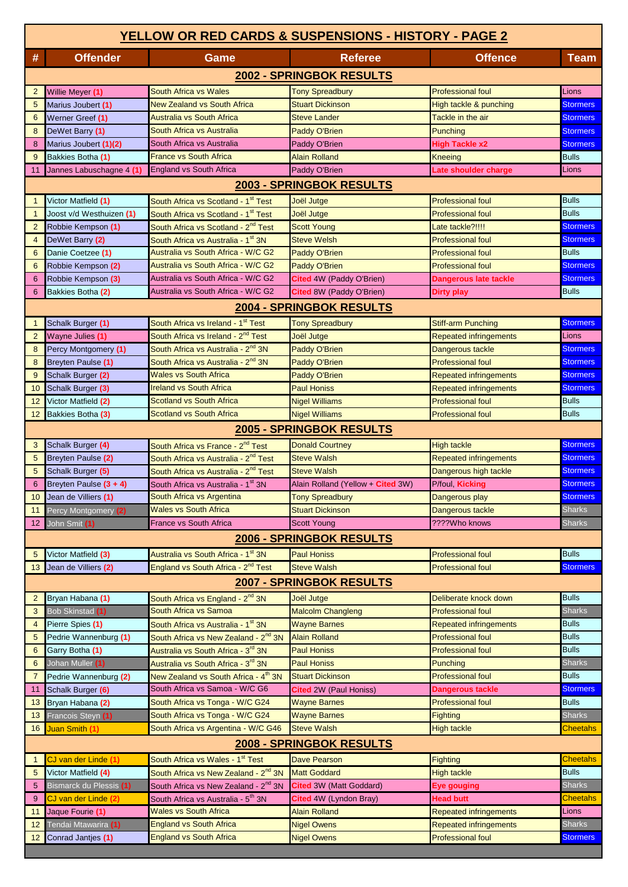|                     | YELLOW OR RED CARDS & SUSPENSIONS - HISTORY - PAGE 2 |                                                                                |                                                   |                                                            |                                 |  |  |
|---------------------|------------------------------------------------------|--------------------------------------------------------------------------------|---------------------------------------------------|------------------------------------------------------------|---------------------------------|--|--|
| #                   | <b>Offender</b>                                      | Game                                                                           | <b>Referee</b>                                    | <b>Offence</b>                                             | <b>Team</b>                     |  |  |
|                     |                                                      |                                                                                | 2002 - SPRINGBOK RESULTS                          |                                                            |                                 |  |  |
| $\overline{2}$      | Willie Meyer (1)                                     | <b>South Africa vs Wales</b>                                                   | <b>Tony Spreadbury</b>                            | <b>Professional foul</b>                                   | Lions                           |  |  |
| 5                   | Marius Joubert (1)                                   | New Zealand vs South Africa                                                    | <b>Stuart Dickinson</b>                           | High tackle & punching                                     | <b>Stormers</b>                 |  |  |
| 6                   | Werner Greef (1)                                     | Australia vs South Africa                                                      | <b>Steve Lander</b>                               | Tackle in the air                                          | <b>Stormers</b>                 |  |  |
| 8                   | DeWet Barry (1)                                      | South Africa vs Australia                                                      | <b>Paddy O'Brien</b>                              | Punching                                                   | <b>Stormers</b>                 |  |  |
| 8                   | Marius Joubert (1)(2)                                | South Africa vs Australia                                                      | Paddy O'Brien                                     | <b>High Tackle x2</b>                                      | <b>Stormers</b>                 |  |  |
| 9                   | Bakkies Botha (1)                                    | France vs South Africa                                                         | Alain Rolland                                     | Kneeing                                                    | <b>Bulls</b>                    |  |  |
| 11                  | Jannes Labuschagne 4 (1)                             | <b>England vs South Africa</b>                                                 | Paddy O'Brien                                     | Late shoulder charge                                       | Lions                           |  |  |
|                     |                                                      |                                                                                | 2003 - SPRINGBOK RESULTS                          |                                                            |                                 |  |  |
|                     | Victor Matfield (1)                                  | South Africa vs Scotland - 1 <sup>st</sup> Test                                | Joël Jutge                                        | <b>Professional foul</b>                                   | <b>Bulls</b>                    |  |  |
|                     | Joost v/d Westhuizen (1)                             | South Africa vs Scotland - 1 <sup>st</sup> Test                                | Joël Jutge                                        | <b>Professional foul</b>                                   | <b>Bulls</b>                    |  |  |
| $\overline{2}$      | Robbie Kempson (1)                                   | South Africa vs Scotland - 2 <sup>nd</sup> Test                                | <b>Scott Young</b>                                | Late tackle?!!!!                                           | <b>Stormers</b>                 |  |  |
| $\overline{4}$<br>6 | DeWet Barry (2)                                      | South Africa vs Australia - 1st 3N<br>Australia vs South Africa - W/C G2       | <b>Steve Welsh</b><br><b>Paddy O'Brien</b>        | <b>Professional foul</b><br><b>Professional foul</b>       | <b>Stormers</b><br><b>Bulls</b> |  |  |
| $6\phantom{1}6$     | Danie Coetzee (1)<br>Robbie Kempson (2)              | Australia vs South Africa - W/C G2                                             | <b>Paddy O'Brien</b>                              | <b>Professional foul</b>                                   | <b>Stormers</b>                 |  |  |
| 6                   | Robbie Kempson (3)                                   | Australia vs South Africa - W/C G2                                             | Cited 4W (Paddy O'Brien)                          | <b>Dangerous late tackle</b>                               | <b>Stormers</b>                 |  |  |
| 6                   | Bakkies Botha (2)                                    | Australia vs South Africa - W/C G2                                             | Cited 8W (Paddy O'Brien)                          | <b>Dirty play</b>                                          | <b>Bulls</b>                    |  |  |
|                     |                                                      |                                                                                | <b>2004 - SPRINGBOK RESULTS</b>                   |                                                            |                                 |  |  |
|                     | Schalk Burger (1)                                    | South Africa vs Ireland - 1 <sup>st</sup> Test                                 |                                                   |                                                            | <b>Stormers</b>                 |  |  |
| 2                   | Wayne Julies (1)                                     | South Africa vs Ireland - 2 <sup>nd</sup> Test                                 | <b>Tony Spreadbury</b><br>Joël Jutge              | <b>Stiff-arm Punching</b><br><b>Repeated infringements</b> | Lions                           |  |  |
| 8                   | Percy Montgomery (1)                                 | South Africa vs Australia - 2 <sup>nd</sup> 3N                                 | <b>Paddy O'Brien</b>                              | Dangerous tackle                                           | <b>Stormers</b>                 |  |  |
| 8                   | <b>Breyten Paulse (1)</b>                            | South Africa vs Australia - 2 <sup>nd</sup> 3N                                 | <b>Paddy O'Brien</b>                              | <b>Professional foul</b>                                   | <b>Stormers</b>                 |  |  |
| 9                   | Schalk Burger (2)                                    | <b>Wales vs South Africa</b>                                                   | <b>Paddy O'Brien</b>                              | <b>Repeated infringements</b>                              | <b>Stormers</b>                 |  |  |
| 10                  | Schalk Burger (3)                                    | <b>Ireland vs South Africa</b>                                                 | <b>Paul Honiss</b>                                | <b>Repeated infringements</b>                              | <b>Stormers</b>                 |  |  |
| 12                  | Victor Matfield (2)                                  | <b>Scotland vs South Africa</b>                                                | <b>Nigel Williams</b>                             | <b>Professional foul</b>                                   | <b>Bulls</b>                    |  |  |
| 12                  | Bakkies Botha (3)                                    | <b>Scotland vs South Africa</b>                                                | <b>Nigel Williams</b>                             | <b>Professional foul</b>                                   | <b>Bulls</b>                    |  |  |
|                     |                                                      |                                                                                | 2005 - SPRINGBOK RESULTS                          |                                                            |                                 |  |  |
| 3                   | Schalk Burger (4)                                    | South Africa vs France - 2 <sup>nd</sup> Test                                  | <b>Donald Courtney</b>                            | <b>High tackle</b>                                         | <b>Stormers</b>                 |  |  |
| 5                   | Breyten Paulse (2)                                   | South Africa vs Australia - 2 <sup>nd</sup> Test                               | <b>Steve Walsh</b>                                | <b>Repeated infringements</b>                              | <b>Stormers</b>                 |  |  |
| 5                   | Schalk Burger (5)                                    | South Africa vs Australia - 2 <sup>nd</sup> Test                               | <b>Steve Walsh</b>                                | Dangerous high tackle                                      | <b>Stormers</b>                 |  |  |
| 6                   | Breyten Paulse (3 + 4)                               | South Africa vs Australia - 1 <sup>st</sup> 3N                                 | Alain Rolland (Yellow + Cited 3W)                 | P/foul, Kicking                                            | <b>Stormers</b>                 |  |  |
| 10                  | Jean de Villiers (1)                                 | South Africa vs Argentina                                                      | Tony Spreadbury                                   | Dangerous play                                             | <b>Stormers</b>                 |  |  |
| 11                  | Percy Montgomery (2)                                 | <b>Wales vs South Africa</b>                                                   | <b>Stuart Dickinson</b>                           | Dangerous tackle                                           | <b>Sharks</b>                   |  |  |
| 12                  | John Smit (1)                                        | <b>France vs South Africa</b>                                                  | <b>Scott Young</b>                                | ????Who knows                                              | <b>Sharks</b>                   |  |  |
|                     |                                                      |                                                                                | 2006 - SPRINGBOK RESULTS                          |                                                            |                                 |  |  |
| 5                   | Victor Matfield (3)                                  | Australia vs South Africa - 1 <sup>st</sup> 3N                                 | <b>Paul Honiss</b>                                | <b>Professional foul</b>                                   | <b>Bulls</b>                    |  |  |
| 13                  | Jean de Villiers (2)                                 | England vs South Africa - 2 <sup>nd</sup> Test                                 | <b>Steve Walsh</b>                                | <b>Professional foul</b>                                   | <b>Stormers</b>                 |  |  |
|                     |                                                      |                                                                                | 2007 - SPRINGBOK RESULTS                          |                                                            |                                 |  |  |
| 2                   | Bryan Habana (1)                                     | South Africa vs England - 2 <sup>nd</sup> 3N                                   | Joël Jutge                                        | Deliberate knock down                                      | <b>Bulls</b>                    |  |  |
| 3                   | Bob Skinstad (1)                                     | South Africa vs Samoa                                                          | <b>Malcolm Changleng</b>                          | <b>Professional foul</b>                                   | <b>Sharks</b>                   |  |  |
| $\overline{4}$      | Pierre Spies (1)                                     | South Africa vs Australia - 1st 3N                                             | <b>Wayne Barnes</b>                               | <b>Repeated infringements</b>                              | <b>Bulls</b>                    |  |  |
| 5                   | Pedrie Wannenburg (1)                                | South Africa vs New Zealand - 2 <sup>nd</sup> 3N                               | <b>Alain Rolland</b>                              | <b>Professional foul</b>                                   | <b>Bulls</b>                    |  |  |
| 6                   | Garry Botha (1)                                      | Australia vs South Africa - 3 <sup>rd</sup> 3N                                 | <b>Paul Honiss</b>                                | <b>Professional foul</b>                                   | <b>Bulls</b>                    |  |  |
| 6                   | Johan Muller (1)                                     | Australia vs South Africa - 3 <sup>rd</sup> 3N                                 | <b>Paul Honiss</b>                                | Punching                                                   | <b>Sharks</b>                   |  |  |
| 7                   | Pedrie Wannenburg (2)                                | New Zealand vs South Africa - 4 <sup>th</sup> 3N                               | <b>Stuart Dickinson</b>                           | <b>Professional foul</b>                                   | <b>Bulls</b>                    |  |  |
| 11                  | Schalk Burger (6)                                    | South Africa vs Samoa - W/C G6                                                 | <b>Cited</b> 2W (Paul Honiss)                     | Dangerous tackle                                           | <b>Stormers</b>                 |  |  |
| 13                  | Bryan Habana (2)                                     | South Africa vs Tonga - W/C G24<br>South Africa vs Tonga - W/C G24             | <b>Wayne Barnes</b><br><b>Wayne Barnes</b>        | <b>Professional foul</b>                                   | <b>Bulls</b><br><b>Sharks</b>   |  |  |
| 13<br>16            | Francois Steyn (1)<br>Juan Smith (1)                 | South Africa vs Argentina - W/C G46                                            | <b>Steve Walsh</b>                                | <b>Fighting</b><br><b>High tackle</b>                      | <b>Cheetahs</b>                 |  |  |
|                     |                                                      |                                                                                |                                                   |                                                            |                                 |  |  |
|                     |                                                      |                                                                                | <b>2008 - SPRINGBOK RESULTS</b>                   |                                                            |                                 |  |  |
| $\mathbf{1}$        | CJ van der Linde (1)                                 | South Africa vs Wales - 1 <sup>st</sup> Test                                   | Dave Pearson                                      | Fighting                                                   | <b>Cheetahs</b>                 |  |  |
| 5                   | Victor Matfield (4)                                  | South Africa vs New Zealand - 2 <sup>nd</sup> 3N                               | <b>Matt Goddard</b>                               | <b>High tackle</b>                                         | <b>Bulls</b><br><b>Sharks</b>   |  |  |
| 5                   | Bismarck du Plessis (1)<br>CJ van der Linde (2)      | South Africa vs New Zealand - 2 <sup>nd</sup> 3N                               | Cited 3W (Matt Goddard)<br>Cited 4W (Lyndon Bray) | Eye gouging<br><b>Head butt</b>                            | <b>Cheetahs</b>                 |  |  |
| 9<br>11             | Jaque Fourie (1)                                     | South Africa vs Australia - 5 <sup>th</sup> 3N<br><b>Wales vs South Africa</b> | <b>Alain Rolland</b>                              | <b>Repeated infringements</b>                              | Lions                           |  |  |
| 12                  | Tendai Mtawarira (1)                                 | <b>England vs South Africa</b>                                                 | <b>Nigel Owens</b>                                | <b>Repeated infringements</b>                              | <b>Sharks</b>                   |  |  |
| $12 \overline{ }$   | Conrad Jantjes (1)                                   | <b>England vs South Africa</b>                                                 | <b>Nigel Owens</b>                                | <b>Professional foul</b>                                   | <b>Stormers</b>                 |  |  |
|                     |                                                      |                                                                                |                                                   |                                                            |                                 |  |  |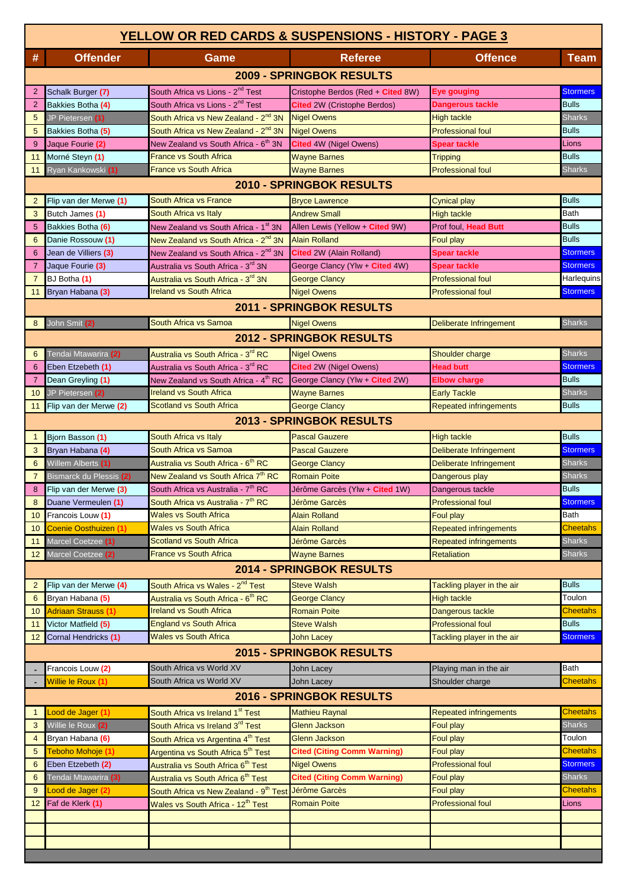|                | YELLOW OR RED CARDS & SUSPENSIONS - HISTORY - PAGE 3 |                                                    |                                    |                                |                 |  |  |
|----------------|------------------------------------------------------|----------------------------------------------------|------------------------------------|--------------------------------|-----------------|--|--|
| #              | <b>Offender</b>                                      | <b>Game</b>                                        | <b>Referee</b>                     | <b>Offence</b>                 | <b>Team</b>     |  |  |
|                |                                                      |                                                    | <b>2009 - SPRINGBOK RESULTS</b>    |                                |                 |  |  |
| $\overline{2}$ | Schalk Burger (7)                                    | South Africa vs Lions - 2 <sup>nd</sup> Test       | Cristophe Berdos (Red + Cited 8W)  | Eye gouging                    | <b>Stormers</b> |  |  |
| $\overline{2}$ | Bakkies Botha (4)                                    | South Africa vs Lions - 2 <sup>nd</sup> Test       | Cited 2W (Cristophe Berdos)        | Dangerous tackle               | <b>Bulls</b>    |  |  |
| 5              | JP Pietersen (1)                                     | South Africa vs New Zealand - 2 <sup>nd</sup> 3N   | <b>Nigel Owens</b>                 | <b>High tackle</b>             | <b>Sharks</b>   |  |  |
| 5              | Bakkies Botha (5)                                    | South Africa vs New Zealand - 2 <sup>nd</sup> 3N   | <b>Nigel Owens</b>                 | <b>Professional foul</b>       | <b>Bulls</b>    |  |  |
| 9              | Jaque Fourie (2)                                     | New Zealand vs South Africa - 6 <sup>th</sup> 3N   | Cited 4W (Nigel Owens)             | Spear tackle                   | Lions           |  |  |
| 11             | Morné Steyn (1)                                      | <b>France vs South Africa</b>                      | <b>Wayne Barnes</b>                | <b>Tripping</b>                | <b>Bulls</b>    |  |  |
| 11             | Ryan Kankowski (1)                                   | <b>France vs South Africa</b>                      | <b>Wayne Barnes</b>                | <b>Professional foul</b>       | <b>Sharks</b>   |  |  |
|                |                                                      |                                                    | 2010 - SPRINGBOK RESULTS           |                                |                 |  |  |
| $\overline{2}$ | Flip van der Merwe (1)                               | South Africa vs France                             | <b>Bryce Lawrence</b>              | <b>Cynical play</b>            | <b>Bulls</b>    |  |  |
| 3              | Butch James (1)                                      | South Africa vs Italy                              | <b>Andrew Small</b>                | <b>High tackle</b>             | <b>Bath</b>     |  |  |
| 5              | Bakkies Botha (6)                                    | New Zealand vs South Africa - 1st 3N               | Allen Lewis (Yellow + Cited 9W)    | Prof foul, Head Butt           | <b>Bulls</b>    |  |  |
| 6              | Danie Rossouw (1)                                    | New Zealand vs South Africa - 2 <sup>nd</sup> 3N   | <b>Alain Rolland</b>               | Foul play                      | <b>Bulls</b>    |  |  |
| 6              | Jean de Villiers (3)                                 | New Zealand vs South Africa - 2 <sup>nd</sup> 3N   | Cited 2W (Alain Rolland)           | <b>Spear tackle</b>            | <b>Stormers</b> |  |  |
| $\overline{7}$ | Jaque Fourie (3)                                     | Australia vs South Africa - 3 <sup>rd</sup> 3N     | George Clancy (Ylw + Cited 4W)     | Spear tackle                   | <b>Stormers</b> |  |  |
| $\overline{7}$ | BJ Botha (1)                                         | Australia vs South Africa - 3 <sup>rd</sup> 3N     | <b>George Clancy</b>               | <b>Professional foul</b>       | Harlequins      |  |  |
| 11             | Bryan Habana (3)                                     | <b>Ireland vs South Africa</b>                     | <b>Nigel Owens</b>                 | <b>Professional foul</b>       | <b>Stormers</b> |  |  |
|                |                                                      |                                                    | <b>2011 - SPRINGBOK RESULTS</b>    |                                |                 |  |  |
| 8              | John Smit (2)                                        | South Africa vs Samoa                              | <b>Nigel Owens</b>                 | Deliberate Infringement        | <b>Sharks</b>   |  |  |
|                |                                                      |                                                    | <b>2012 - SPRINGBOK RESULTS</b>    |                                |                 |  |  |
| 6              | Tendai Mtawarira (2)                                 | Australia vs South Africa - 3 <sup>rd</sup> RC     | <b>Nigel Owens</b>                 | Shoulder charge                | <b>Sharks</b>   |  |  |
| 6              | Eben Etzebeth (1)                                    | Australia vs South Africa - 3 <sup>rd</sup> RC     | <b>Cited</b> 2W (Nigel Owens)      | <b>Head butt</b>               | <b>Stormers</b> |  |  |
| $\overline{7}$ | Dean Greyling (1)                                    | New Zealand vs South Africa - 4 <sup>th</sup> RC   | George Clancy (Ylw + Cited 2W)     | <b>Elbow charge</b>            | <b>Bulls</b>    |  |  |
| 10             | JP Pietersen (2)                                     | <b>Ireland vs South Africa</b>                     | <b>Wayne Barnes</b>                | <b>Early Tackle</b>            | Sharks          |  |  |
| 11             | Flip van der Merwe (2)                               | <b>Scotland vs South Africa</b>                    | <b>George Clancy</b>               | <b>Repeated infringements</b>  | <b>Bulls</b>    |  |  |
|                |                                                      |                                                    | <b>2013 - SPRINGBOK RESULTS</b>    |                                |                 |  |  |
| 1              | Bjorn Basson (1)                                     | South Africa vs Italy                              | <b>Pascal Gauzere</b>              | <b>High tackle</b>             | <b>Bulls</b>    |  |  |
| 3              | Bryan Habana (4)                                     | South Africa vs Samoa                              | <b>Pascal Gauzere</b>              | Deliberate Infringement        | <b>Stormers</b> |  |  |
| 6              | Willem Alberts (1)                                   | Australia vs South Africa - 6 <sup>th</sup> RC     | <b>George Clancy</b>               | <b>Deliberate Infringement</b> | Sharks          |  |  |
| 7              | Bismarck du Plessis (2)                              | New Zealand vs South Africa 7 <sup>th</sup> RC     | <b>Romain Poite</b>                | Dangerous play                 | <b>Sharks</b>   |  |  |
| 8              | Flip van der Merwe (3)                               | South Africa vs Australia - 7 <sup>th</sup> RC     | Jérôme Garcès (Ylw + Cited 1W)     | Dangerous tackle               | <b>Bulls</b>    |  |  |
| 8              | Duane Vermeulen (1)                                  | South Africa vs Australia - 7 <sup>th</sup> RC     | Jérôme Garcès                      | <b>Professional foul</b>       | <b>Stormers</b> |  |  |
| 10             | Francois Louw (1)                                    | <b>Wales vs South Africa</b>                       | <b>Alain Rolland</b>               | Foul play                      | Bath            |  |  |
| 10             | Coenie Oosthuizen (1)                                | <b>Wales vs South Africa</b>                       | Alain Rolland                      | <b>Repeated infringements</b>  | Cheetahs        |  |  |
| 11             | Marcel Coetzee (1)                                   | <b>Scotland vs South Africa</b>                    | Jérôme Garcès                      | <b>Repeated infringements</b>  | <b>Sharks</b>   |  |  |
| 12             | Marcel Coetzee (2)                                   | <b>France vs South Africa</b>                      | <b>Wayne Barnes</b>                | Retaliation                    | <b>Sharks</b>   |  |  |
|                |                                                      |                                                    | 2014 - SPRINGBOK RESULTS           |                                |                 |  |  |
| 2              | Flip van der Merwe (4)                               | South Africa vs Wales - 2 <sup>nd</sup> Test       | <b>Steve Walsh</b>                 | Tackling player in the air     | <b>Bulls</b>    |  |  |
| 6              | Bryan Habana (5)                                     | Australia vs South Africa - 6 <sup>th</sup> RC     | George Clancy                      | <b>High tackle</b>             | Toulon          |  |  |
| 10             | <b>Adriaan Strauss (1)</b>                           | <b>Ireland vs South Africa</b>                     | <b>Romain Poite</b>                | Dangerous tackle               | <b>Cheetahs</b> |  |  |
| 11             | Victor Matfield (5)                                  | <b>England vs South Africa</b>                     | <b>Steve Walsh</b>                 | <b>Professional foul</b>       | <b>Bulls</b>    |  |  |
| 12             | Cornal Hendricks (1)                                 | <b>Wales vs South Africa</b>                       | <b>John Lacey</b>                  | Tackling player in the air     | <b>Stormers</b> |  |  |
|                |                                                      |                                                    | <b>2015 - SPRINGBOK RESULTS</b>    |                                |                 |  |  |
|                | Francois Louw (2)                                    | South Africa vs World XV                           | John Lacey                         | Playing man in the air         | <b>Bath</b>     |  |  |
|                | Willie le Roux (1)                                   | South Africa vs World XV                           | <b>John Lacey</b>                  | Shoulder charge                | <b>Cheetahs</b> |  |  |
|                |                                                      |                                                    | 2016 - SPRINGBOK RESULTS           |                                |                 |  |  |
| $\mathbf 1$    | Lood de Jager (1)                                    | South Africa vs Ireland 1 <sup>st</sup> Test       | <b>Mathieu Raynal</b>              | <b>Repeated infringements</b>  | <b>Cheetahs</b> |  |  |
| 3              | Willie le Roux (2)                                   | South Africa vs Ireland 3 <sup>rd</sup> Test       | Glenn Jackson                      | Foul play                      | Sharks          |  |  |
| $\overline{4}$ | Bryan Habana (6)                                     | South Africa vs Argentina 4 <sup>th</sup> Test     | Glenn Jackson                      | Foul play                      | Toulon          |  |  |
| 5              | Teboho Mohoje (1)                                    | Argentina vs South Africa 5 <sup>th</sup> Test     | <b>Cited (Citing Comm Warning)</b> | Foul play                      | <b>Cheetahs</b> |  |  |
| 6              | Eben Etzebeth (2)                                    | Australia vs South Africa 6 <sup>th</sup> Test     | <b>Nigel Owens</b>                 | <b>Professional foul</b>       | <b>Stormers</b> |  |  |
| 6              | Tendai Mtawarira (3)                                 | Australia vs South Africa 6 <sup>th</sup> Test     | <b>Cited (Citing Comm Warning)</b> | Foul play                      | <b>Sharks</b>   |  |  |
| 9              | Lood de Jager (2)                                    | South Africa vs New Zealand - 9 <sup>th</sup> Test | Jérôme Garcès                      | Foul play                      | <b>Cheetahs</b> |  |  |
| 12             | Faf de Klerk (1)                                     | Wales vs South Africa - 12 <sup>th</sup> Test      | <b>Romain Poite</b>                | <b>Professional foul</b>       | Lions           |  |  |
|                |                                                      |                                                    |                                    |                                |                 |  |  |
|                |                                                      |                                                    |                                    |                                |                 |  |  |
|                |                                                      |                                                    |                                    |                                |                 |  |  |
|                |                                                      |                                                    |                                    |                                |                 |  |  |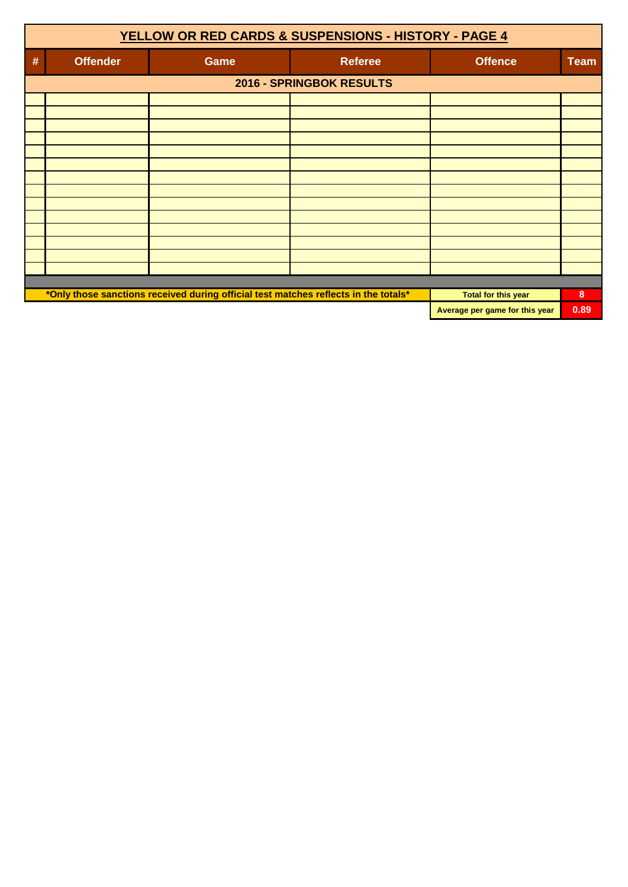|   | YELLOW OR RED CARDS & SUSPENSIONS - HISTORY - PAGE 4 |                                                                                     |                          |                                |             |  |  |  |
|---|------------------------------------------------------|-------------------------------------------------------------------------------------|--------------------------|--------------------------------|-------------|--|--|--|
| # | <b>Offender</b>                                      | Game                                                                                | <b>Referee</b>           | <b>Offence</b>                 | <b>Team</b> |  |  |  |
|   |                                                      |                                                                                     | 2016 - SPRINGBOK RESULTS |                                |             |  |  |  |
|   |                                                      |                                                                                     |                          |                                |             |  |  |  |
|   |                                                      |                                                                                     |                          |                                |             |  |  |  |
|   |                                                      |                                                                                     |                          |                                |             |  |  |  |
|   |                                                      |                                                                                     |                          |                                |             |  |  |  |
|   |                                                      |                                                                                     |                          |                                |             |  |  |  |
|   |                                                      |                                                                                     |                          |                                |             |  |  |  |
|   |                                                      |                                                                                     |                          |                                |             |  |  |  |
|   |                                                      |                                                                                     |                          |                                |             |  |  |  |
|   |                                                      |                                                                                     |                          |                                |             |  |  |  |
|   |                                                      |                                                                                     |                          |                                |             |  |  |  |
|   |                                                      |                                                                                     |                          |                                |             |  |  |  |
|   |                                                      | *Only those sanctions received during official test matches reflects in the totals* |                          | <b>Total for this year</b>     | 8           |  |  |  |
|   |                                                      |                                                                                     |                          | Average per game for this year | 0.89        |  |  |  |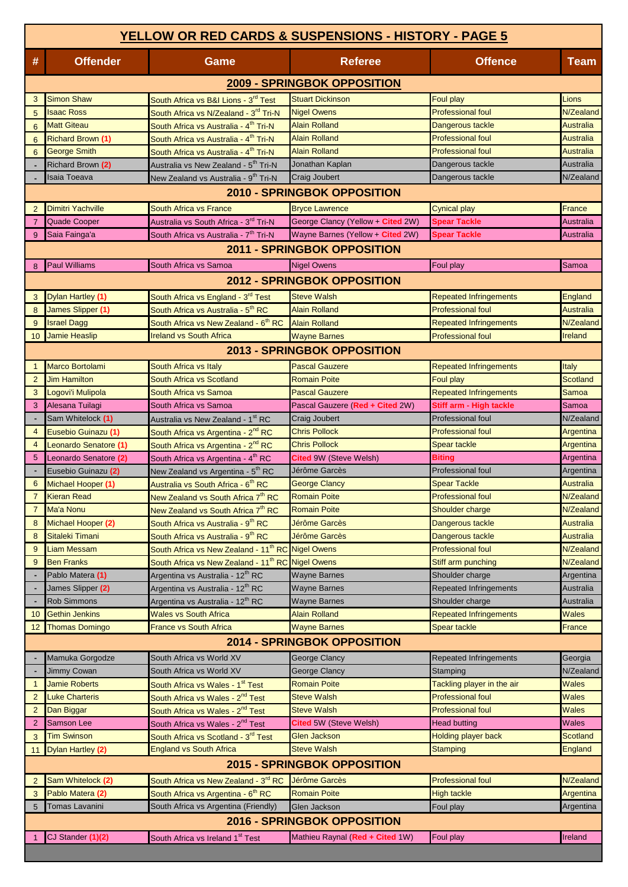|                | <b>YELLOW OR RED CARDS &amp; SUSPENSIONS - HISTORY - PAGE 5</b> |                                                                                              |                                    |                                                |                        |  |  |
|----------------|-----------------------------------------------------------------|----------------------------------------------------------------------------------------------|------------------------------------|------------------------------------------------|------------------------|--|--|
| #              | <b>Offender</b>                                                 | Game                                                                                         | <b>Referee</b>                     | <b>Offence</b>                                 | Team                   |  |  |
|                |                                                                 |                                                                                              | <b>2009 - SPRINGBOK OPPOSITION</b> |                                                |                        |  |  |
| 3              | <b>Simon Shaw</b>                                               | South Africa vs B&I Lions - 3 <sup>rd</sup> Test                                             | <b>Stuart Dickinson</b>            | Foul play                                      | Lions                  |  |  |
| 5              | <b>Isaac Ross</b>                                               | South Africa vs N/Zealand - 3 <sup>rd</sup> Tri-N                                            | <b>Nigel Owens</b>                 | <b>Professional foul</b>                       | N/Zealand              |  |  |
| 6              | <b>Matt Giteau</b>                                              | South Africa vs Australia - 4 <sup>th</sup> Tri-N                                            | <b>Alain Rolland</b>               | Dangerous tackle                               | Australia              |  |  |
| 6              | <b>Richard Brown (1)</b>                                        | South Africa vs Australia - 4 <sup>th</sup> Tri-N                                            | <b>Alain Rolland</b>               | <b>Professional foul</b>                       | <b>Australia</b>       |  |  |
| 6              | <b>George Smith</b>                                             | South Africa vs Australia - 4 <sup>th</sup> Tri-N                                            | <b>Alain Rolland</b>               | <b>Professional foul</b>                       | <b>Australia</b>       |  |  |
|                | Richard Brown (2)                                               | Australia vs New Zealand - 5 <sup>th</sup> Tri-N                                             | Jonathan Kaplan                    | Dangerous tackle                               | Australia              |  |  |
|                | <b>Isaia Toeava</b>                                             | New Zealand vs Australia - 9 <sup>th</sup> Tri-N                                             | <b>Craig Joubert</b>               | Dangerous tackle                               | N/Zealand              |  |  |
|                | <b>2010 - SPRINGBOK OPPOSITION</b>                              |                                                                                              |                                    |                                                |                        |  |  |
| $\overline{2}$ | Dimitri Yachville                                               | <b>South Africa vs France</b>                                                                | <b>Bryce Lawrence</b>              | <b>Cynical play</b>                            | France                 |  |  |
| $\overline{7}$ | Quade Cooper                                                    | Australia vs South Africa - 3 <sup>rd</sup> Tri-N                                            | George Clancy (Yellow + Cited 2W)  | <b>Spear Tackle</b>                            | Australia              |  |  |
| 9              | Saia Fainga'a                                                   | South Africa vs Australia - 7 <sup>th</sup> Tri-N                                            | Wayne Barnes (Yellow + Cited 2W)   | <b>Spear Tackle</b>                            | Australia              |  |  |
|                |                                                                 |                                                                                              | <b>2011 - SPRINGBOK OPPOSITION</b> |                                                |                        |  |  |
| 8              | <b>Paul Williams</b>                                            | South Africa vs Samoa                                                                        | <b>Nigel Owens</b>                 | Foul play                                      | Samoa                  |  |  |
|                |                                                                 |                                                                                              | <b>2012 - SPRINGBOK OPPOSITION</b> |                                                |                        |  |  |
| 3              | Dylan Hartley (1)                                               | South Africa vs England - 3rd Test                                                           | <b>Steve Walsh</b>                 | <b>Repeated Infringements</b>                  | England                |  |  |
| 8              | James Slipper (1)                                               | South Africa vs Australia - 5 <sup>th</sup> RC                                               | <b>Alain Rolland</b>               | <b>Professional foul</b>                       | <b>Australia</b>       |  |  |
| 9              | <b>Israel Dagg</b>                                              | South Africa vs New Zealand - 6 <sup>th</sup> RC                                             | <b>Alain Rolland</b>               | <b>Repeated Infringements</b>                  | N/Zealand              |  |  |
| 10             | <b>Jamie Heaslip</b>                                            | <b>Ireland vs South Africa</b>                                                               | <b>Wayne Barnes</b>                | <b>Professional foul</b>                       | Ireland                |  |  |
|                |                                                                 |                                                                                              | <b>2013 - SPRINGBOK OPPOSITION</b> |                                                |                        |  |  |
|                | <b>Marco Bortolami</b>                                          | South Africa vs Italy                                                                        | <b>Pascal Gauzere</b>              | <b>Repeated Infringements</b>                  | <b>Italy</b>           |  |  |
| $\overline{2}$ | <b>Jim Hamilton</b>                                             | South Africa vs Scotland                                                                     | <b>Romain Poite</b>                | Foul play                                      | <b>Scotland</b>        |  |  |
| 3              | Logovi'i Mulipola                                               | South Africa vs Samoa                                                                        | <b>Pascal Gauzere</b>              | <b>Repeated Infringements</b>                  | Samoa                  |  |  |
| 3              | Alesana Tuilagi                                                 | South Africa vs Samoa                                                                        | Pascal Gauzere (Red + Cited 2W)    | Stiff arm - High tackle                        | Samoa                  |  |  |
|                | Sam Whitelock (1)                                               | Australia vs New Zealand - 1 <sup>st</sup> RC                                                | Craig Joubert                      | Professional foul                              | N/Zealand              |  |  |
| $\overline{4}$ | Eusebio Guinazu (1)                                             | South Africa vs Argentina - 2 <sup>nd</sup> RC                                               | <b>Chris Pollock</b>               | <b>Professional foul</b>                       | Argentina              |  |  |
| $\overline{4}$ | Leonardo Senatore (1)                                           | South Africa vs Argentina - 2 <sup>nd</sup> RC                                               | <b>Chris Pollock</b>               | Spear tackle                                   | Argentina              |  |  |
| 5              | Leonardo Senatore (2)                                           | South Africa vs Argentina - 4 <sup>th</sup> RC                                               | Cited 9W (Steve Welsh)             | Biting                                         | Argentina              |  |  |
|                | Eusebio Guinazu (2)                                             | New Zealand vs Argentina - 5 <sup>th</sup> RC                                                | Jérôme Garcès                      | <b>Professional foul</b>                       | Argentina              |  |  |
| $6\phantom{1}$ | <b>Michael Hooper (1)</b>                                       | Australia vs South Africa - 6 <sup>th</sup> RC                                               | <b>George Clancy</b>               | Spear Tackle                                   | <b>Australia</b>       |  |  |
| $\overline{7}$ | <b>Kieran Read</b>                                              | New Zealand vs South Africa 7 <sup>th</sup> RC                                               | <b>Romain Poite</b>                | <b>Professional foul</b>                       | N/Zealand              |  |  |
| $\overline{7}$ | Ma'a Nonu                                                       | New Zealand vs South Africa 7th RC                                                           | <b>Romain Poite</b>                | Shoulder charge                                | N/Zealand              |  |  |
| 8              | Michael Hooper (2)                                              | South Africa vs Australia - 9 <sup>th</sup> RC                                               | Jérôme Garcès                      | Dangerous tackle                               | Australia              |  |  |
| 8              | Sitaleki Timani                                                 | South Africa vs Australia - 9 <sup>th</sup> RC                                               | Jérôme Garcès                      | Dangerous tackle                               | Australia              |  |  |
| 9<br>9         | <b>Liam Messam</b><br><b>Ben Franks</b>                         | South Africa vs New Zealand - 11 <sup>th</sup> RC Nigel Owens                                |                                    | <b>Professional foul</b><br>Stiff arm punching | N/Zealand<br>N/Zealand |  |  |
|                | Pablo Matera (1)                                                | South Africa vs New Zealand - 11 <sup>th</sup> RC Nigel Owens                                | <b>Wayne Barnes</b>                | Shoulder charge                                | Argentina              |  |  |
|                | James Slipper (2)                                               | Argentina vs Australia - 12 <sup>th</sup> RC<br>Argentina vs Australia - 12 <sup>th</sup> RC | <b>Wayne Barnes</b>                | <b>Repeated Infringements</b>                  | Australia              |  |  |
|                | <b>Rob Simmons</b>                                              | Argentina vs Australia - 12 <sup>th</sup> RC                                                 | Wayne Barnes                       | Shoulder charge                                | Australia              |  |  |
| 10             | <b>Gethin Jenkins</b>                                           | <b>Wales vs South Africa</b>                                                                 | <b>Alain Rolland</b>               | <b>Repeated Infringements</b>                  | <b>Wales</b>           |  |  |
| 12             | <b>Thomas Domingo</b>                                           | <b>France vs South Africa</b>                                                                | <b>Wayne Barnes</b>                | Spear tackle                                   | <b>France</b>          |  |  |
|                |                                                                 |                                                                                              | <b>2014 - SPRINGBOK OPPOSITION</b> |                                                |                        |  |  |
|                |                                                                 | South Africa vs World XV                                                                     |                                    |                                                |                        |  |  |
|                | Mamuka Gorgodze<br><b>Jimmy Cowan</b>                           | South Africa vs World XV                                                                     | George Clancy<br>George Clancy     | <b>Repeated Infringements</b><br>Stamping      | Georgia<br>N/Zealand   |  |  |
| 1              | <b>Jamie Roberts</b>                                            | South Africa vs Wales - 1 <sup>st</sup> Test                                                 | <b>Romain Poite</b>                | Tackling player in the air                     | <b>Wales</b>           |  |  |
| $\overline{2}$ | <b>Luke Charteris</b>                                           | South Africa vs Wales - 2 <sup>nd</sup> Test                                                 | Steve Walsh                        | <b>Professional foul</b>                       | <b>Wales</b>           |  |  |
| $\overline{c}$ | Dan Biggar                                                      | South Africa vs Wales - 2 <sup>nd</sup> Test                                                 | Steve Walsh                        | <b>Professional foul</b>                       | Wales                  |  |  |
| $\overline{c}$ | <b>Samson Lee</b>                                               | South Africa vs Wales - 2 <sup>nd</sup> Test                                                 | Cited 5W (Steve Welsh)             | Head butting                                   | Wales                  |  |  |
| 3              | <b>Tim Swinson</b>                                              | South Africa vs Scotland - 3rd Test                                                          | <b>Glen Jackson</b>                | Holding player back                            | <b>Scotland</b>        |  |  |
| 11             | Dylan Hartley (2)                                               | <b>England vs South Africa</b>                                                               | <b>Steve Walsh</b>                 | <b>Stamping</b>                                | England                |  |  |
|                |                                                                 |                                                                                              | <b>2015 - SPRINGBOK OPPOSITION</b> |                                                |                        |  |  |
| $\overline{2}$ | Sam Whitelock (2)                                               | South Africa vs New Zealand - 3 <sup>rd</sup> RC                                             | Jérôme Garcès                      | <b>Professional foul</b>                       | N/Zealand              |  |  |
| 3              | Pablo Matera (2)                                                | South Africa vs Argentina - 6 <sup>th</sup> RC                                               | <b>Romain Poite</b>                | <b>High tackle</b>                             | Argentina              |  |  |
| 5              | Tomas Lavanini                                                  | South Africa vs Argentina (Friendly)                                                         | Glen Jackson                       | Foul play                                      | Argentina              |  |  |
|                |                                                                 |                                                                                              | <b>2016 - SPRINGBOK OPPOSITION</b> |                                                |                        |  |  |
|                | CJ Stander (1)(2)                                               | South Africa vs Ireland 1 <sup>st</sup> Test                                                 | Mathieu Raynal (Red + Cited 1W)    | Foul play                                      | Ireland                |  |  |
|                |                                                                 |                                                                                              |                                    |                                                |                        |  |  |